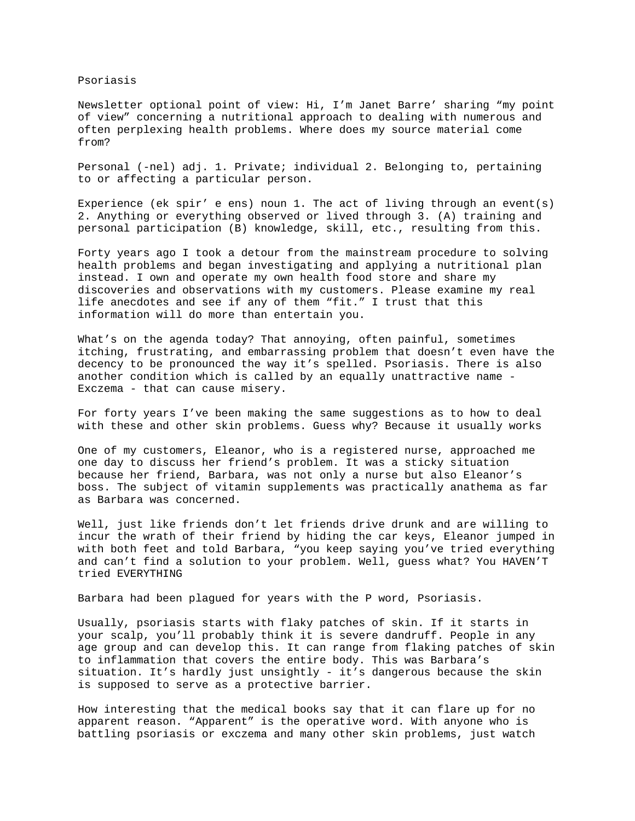Psoriasis

Newsletter optional point of view: Hi, I'm Janet Barre' sharing "my point of view" concerning a nutritional approach to dealing with numerous and often perplexing health problems. Where does my source material come from?

Personal (-nel) adj. 1. Private; individual 2. Belonging to, pertaining to or affecting a particular person.

Experience (ek spir' e ens) noun 1. The act of living through an event(s) 2. Anything or everything observed or lived through 3. (A) training and personal participation (B) knowledge, skill, etc., resulting from this.

Forty years ago I took a detour from the mainstream procedure to solving health problems and began investigating and applying a nutritional plan instead. I own and operate my own health food store and share my discoveries and observations with my customers. Please examine my real life anecdotes and see if any of them "fit." I trust that this information will do more than entertain you.

What's on the agenda today? That annoying, often painful, sometimes itching, frustrating, and embarrassing problem that doesn't even have the decency to be pronounced the way it's spelled. Psoriasis. There is also another condition which is called by an equally unattractive name - Exczema - that can cause misery.

For forty years I've been making the same suggestions as to how to deal with these and other skin problems. Guess why? Because it usually works

One of my customers, Eleanor, who is a registered nurse, approached me one day to discuss her friend's problem. It was a sticky situation because her friend, Barbara, was not only a nurse but also Eleanor's boss. The subject of vitamin supplements was practically anathema as far as Barbara was concerned.

Well, just like friends don't let friends drive drunk and are willing to incur the wrath of their friend by hiding the car keys, Eleanor jumped in with both feet and told Barbara, "you keep saying you've tried everything and can't find a solution to your problem. Well, guess what? You HAVEN'T tried EVERYTHING

Barbara had been plagued for years with the P word, Psoriasis.

Usually, psoriasis starts with flaky patches of skin. If it starts in your scalp, you'll probably think it is severe dandruff. People in any age group and can develop this. It can range from flaking patches of skin to inflammation that covers the entire body. This was Barbara's situation. It's hardly just unsightly - it's dangerous because the skin is supposed to serve as a protective barrier.

How interesting that the medical books say that it can flare up for no apparent reason. "Apparent" is the operative word. With anyone who is battling psoriasis or exczema and many other skin problems, just watch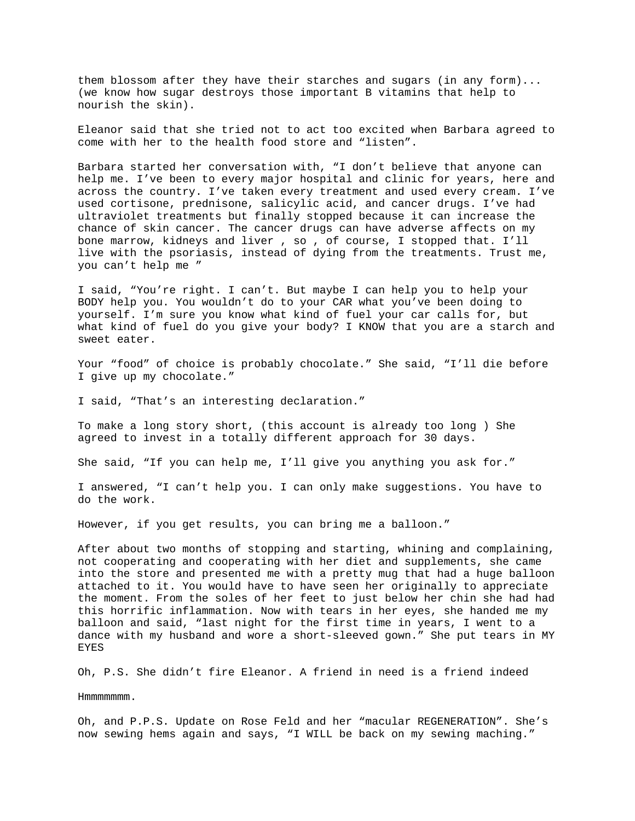them blossom after they have their starches and sugars (in any form)... (we know how sugar destroys those important B vitamins that help to nourish the skin).

Eleanor said that she tried not to act too excited when Barbara agreed to come with her to the health food store and "listen".

Barbara started her conversation with, "I don't believe that anyone can help me. I've been to every major hospital and clinic for years, here and across the country. I've taken every treatment and used every cream. I've used cortisone, prednisone, salicylic acid, and cancer drugs. I've had ultraviolet treatments but finally stopped because it can increase the chance of skin cancer. The cancer drugs can have adverse affects on my bone marrow, kidneys and liver , so , of course, I stopped that. I'll live with the psoriasis, instead of dying from the treatments. Trust me, you can't help me "

I said, "You're right. I can't. But maybe I can help you to help your BODY help you. You wouldn't do to your CAR what you've been doing to yourself. I'm sure you know what kind of fuel your car calls for, but what kind of fuel do you give your body? I KNOW that you are a starch and sweet eater.

Your "food" of choice is probably chocolate." She said, "I'll die before I give up my chocolate."

I said, "That's an interesting declaration."

To make a long story short, (this account is already too long ) She agreed to invest in a totally different approach for 30 days.

She said, "If you can help me, I'll give you anything you ask for."

I answered, "I can't help you. I can only make suggestions. You have to do the work.

However, if you get results, you can bring me a balloon."

After about two months of stopping and starting, whining and complaining, not cooperating and cooperating with her diet and supplements, she came into the store and presented me with a pretty mug that had a huge balloon attached to it. You would have to have seen her originally to appreciate the moment. From the soles of her feet to just below her chin she had had this horrific inflammation. Now with tears in her eyes, she handed me my balloon and said, "last night for the first time in years, I went to a dance with my husband and wore a short-sleeved gown." She put tears in MY EYES

Oh, P.S. She didn't fire Eleanor. A friend in need is a friend indeed

Hmmmmmmm.

Oh, and P.P.S. Update on Rose Feld and her "macular REGENERATION". She's now sewing hems again and says, "I WILL be back on my sewing maching."